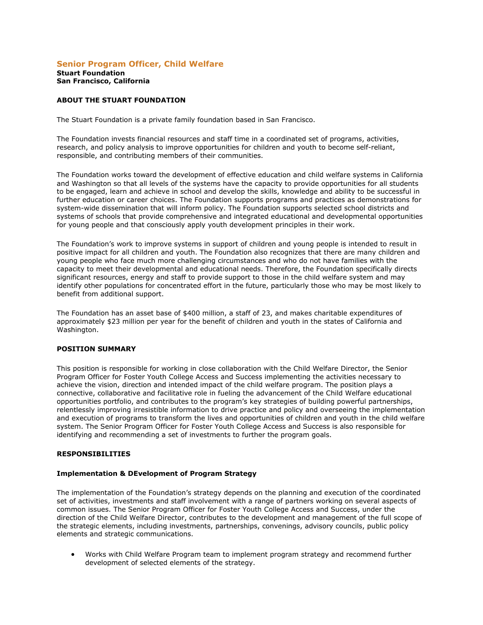#### **Senior Program Officer, Child Welfare Stuart Foundation San Francisco, California**

# **ABOUT THE STUART FOUNDATION**

The Stuart Foundation is a private family foundation based in San Francisco.

The Foundation invests financial resources and staff time in a coordinated set of programs, activities, research, and policy analysis to improve opportunities for children and youth to become self-reliant, responsible, and contributing members of their communities.

The Foundation works toward the development of effective education and child welfare systems in California and Washington so that all levels of the systems have the capacity to provide opportunities for all students to be engaged, learn and achieve in school and develop the skills, knowledge and ability to be successful in further education or career choices. The Foundation supports programs and practices as demonstrations for system-wide dissemination that will inform policy. The Foundation supports selected school districts and systems of schools that provide comprehensive and integrated educational and developmental opportunities for young people and that consciously apply youth development principles in their work.

The Foundation's work to improve systems in support of children and young people is intended to result in positive impact for all children and youth. The Foundation also recognizes that there are many children and young people who face much more challenging circumstances and who do not have families with the capacity to meet their developmental and educational needs. Therefore, the Foundation specifically directs significant resources, energy and staff to provide support to those in the child welfare system and may identify other populations for concentrated effort in the future, particularly those who may be most likely to benefit from additional support.

The Foundation has an asset base of \$400 million, a staff of 23, and makes charitable expenditures of approximately \$23 million per year for the benefit of children and youth in the states of California and Washington.

## **POSITION SUMMARY**

This position is responsible for working in close collaboration with the Child Welfare Director, the Senior Program Officer for Foster Youth College Access and Success implementing the activities necessary to achieve the vision, direction and intended impact of the child welfare program. The position plays a connective, collaborative and facilitative role in fueling the advancement of the Child Welfare educational opportunities portfolio, and contributes to the program's key strategies of building powerful partnerships, relentlessly improving irresistible information to drive practice and policy and overseeing the implementation and execution of programs to transform the lives and opportunities of children and youth in the child welfare system. The Senior Program Officer for Foster Youth College Access and Success is also responsible for identifying and recommending a set of investments to further the program goals.

#### **RESPONSIBILITIES**

#### **Implementation & DEvelopment of Program Strategy**

The implementation of the Foundation's strategy depends on the planning and execution of the coordinated set of activities, investments and staff involvement with a range of partners working on several aspects of common issues. The Senior Program Officer for Foster Youth College Access and Success, under the direction of the Child Welfare Director, contributes to the development and management of the full scope of the strategic elements, including investments, partnerships, convenings, advisory councils, public policy elements and strategic communications.

 Works with Child Welfare Program team to implement program strategy and recommend further development of selected elements of the strategy.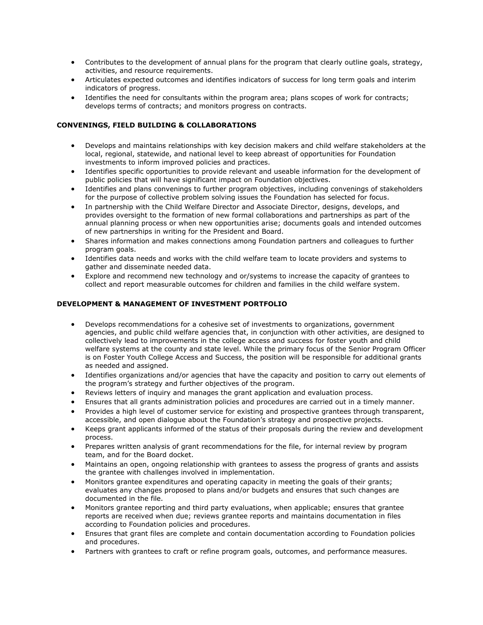- Contributes to the development of annual plans for the program that clearly outline goals, strategy, activities, and resource requirements.
- Articulates expected outcomes and identifies indicators of success for long term goals and interim indicators of progress.
- Identifies the need for consultants within the program area; plans scopes of work for contracts; develops terms of contracts; and monitors progress on contracts.

# **CONVENINGS, FIELD BUILDING & COLLABORATIONS**

- Develops and maintains relationships with key decision makers and child welfare stakeholders at the local, regional, statewide, and national level to keep abreast of opportunities for Foundation investments to inform improved policies and practices.
- Identifies specific opportunities to provide relevant and useable information for the development of public policies that will have significant impact on Foundation objectives.
- Identifies and plans convenings to further program objectives, including convenings of stakeholders for the purpose of collective problem solving issues the Foundation has selected for focus.
- In partnership with the Child Welfare Director and Associate Director, designs, develops, and provides oversight to the formation of new formal collaborations and partnerships as part of the annual planning process or when new opportunities arise; documents goals and intended outcomes of new partnerships in writing for the President and Board.
- Shares information and makes connections among Foundation partners and colleagues to further program goals.
- Identifies data needs and works with the child welfare team to locate providers and systems to gather and disseminate needed data.
- Explore and recommend new technology and or/systems to increase the capacity of grantees to collect and report measurable outcomes for children and families in the child welfare system.

## **DEVELOPMENT & MANAGEMENT OF INVESTMENT PORTFOLIO**

- Develops recommendations for a cohesive set of investments to organizations, government agencies, and public child welfare agencies that, in conjunction with other activities, are designed to collectively lead to improvements in the college access and success for foster youth and child welfare systems at the county and state level. While the primary focus of the Senior Program Officer is on Foster Youth College Access and Success, the position will be responsible for additional grants as needed and assigned.
- Identifies organizations and/or agencies that have the capacity and position to carry out elements of the program's strategy and further objectives of the program.
- Reviews letters of inquiry and manages the grant application and evaluation process.
- Ensures that all grants administration policies and procedures are carried out in a timely manner.
- Provides a high level of customer service for existing and prospective grantees through transparent, accessible, and open dialogue about the Foundation's strategy and prospective projects.
- Keeps grant applicants informed of the status of their proposals during the review and development process.
- Prepares written analysis of grant recommendations for the file, for internal review by program team, and for the Board docket.
- Maintains an open, ongoing relationship with grantees to assess the progress of grants and assists the grantee with challenges involved in implementation.
- Monitors grantee expenditures and operating capacity in meeting the goals of their grants; evaluates any changes proposed to plans and/or budgets and ensures that such changes are documented in the file.
- Monitors grantee reporting and third party evaluations, when applicable; ensures that grantee reports are received when due; reviews grantee reports and maintains documentation in files according to Foundation policies and procedures.
- Ensures that grant files are complete and contain documentation according to Foundation policies and procedures.
- Partners with grantees to craft or refine program goals, outcomes, and performance measures.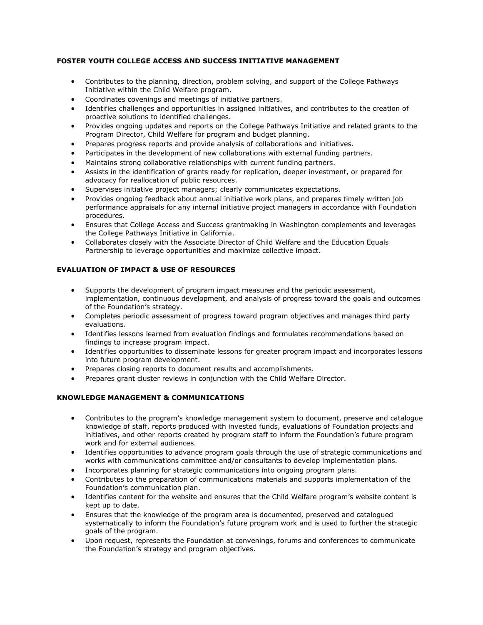# **FOSTER YOUTH COLLEGE ACCESS AND SUCCESS INITIATIVE MANAGEMENT**

- Contributes to the planning, direction, problem solving, and support of the College Pathways Initiative within the Child Welfare program.
- Coordinates covenings and meetings of initiative partners.
- Identifies challenges and opportunities in assigned initiatives, and contributes to the creation of proactive solutions to identified challenges.
- Provides ongoing updates and reports on the College Pathways Initiative and related grants to the Program Director, Child Welfare for program and budget planning.
- Prepares progress reports and provide analysis of collaborations and initiatives.
- Participates in the development of new collaborations with external funding partners.
- Maintains strong collaborative relationships with current funding partners.
- Assists in the identification of grants ready for replication, deeper investment, or prepared for advocacy for reallocation of public resources.
- Supervises initiative project managers; clearly communicates expectations.
- Provides ongoing feedback about annual initiative work plans, and prepares timely written job performance appraisals for any internal initiative project managers in accordance with Foundation procedures.
- Ensures that College Access and Success grantmaking in Washington complements and leverages the College Pathways Initiative in California.
- Collaborates closely with the Associate Director of Child Welfare and the Education Equals Partnership to leverage opportunities and maximize collective impact.

# **EVALUATION OF IMPACT & USE OF RESOURCES**

- Supports the development of program impact measures and the periodic assessment, implementation, continuous development, and analysis of progress toward the goals and outcomes of the Foundation's strategy.
- Completes periodic assessment of progress toward program objectives and manages third party evaluations.
- Identifies lessons learned from evaluation findings and formulates recommendations based on findings to increase program impact.
- Identifies opportunities to disseminate lessons for greater program impact and incorporates lessons into future program development.
- Prepares closing reports to document results and accomplishments.
- Prepares grant cluster reviews in conjunction with the Child Welfare Director.

# **KNOWLEDGE MANAGEMENT & COMMUNICATIONS**

- Contributes to the program's knowledge management system to document, preserve and catalogue knowledge of staff, reports produced with invested funds, evaluations of Foundation projects and initiatives, and other reports created by program staff to inform the Foundation's future program work and for external audiences.
- Identifies opportunities to advance program goals through the use of strategic communications and works with communications committee and/or consultants to develop implementation plans.
- Incorporates planning for strategic communications into ongoing program plans.
- Contributes to the preparation of communications materials and supports implementation of the Foundation's communication plan.
- Identifies content for the website and ensures that the Child Welfare program's website content is kept up to date.
- Ensures that the knowledge of the program area is documented, preserved and catalogued systematically to inform the Foundation's future program work and is used to further the strategic goals of the program.
- Upon request, represents the Foundation at convenings, forums and conferences to communicate the Foundation's strategy and program objectives.